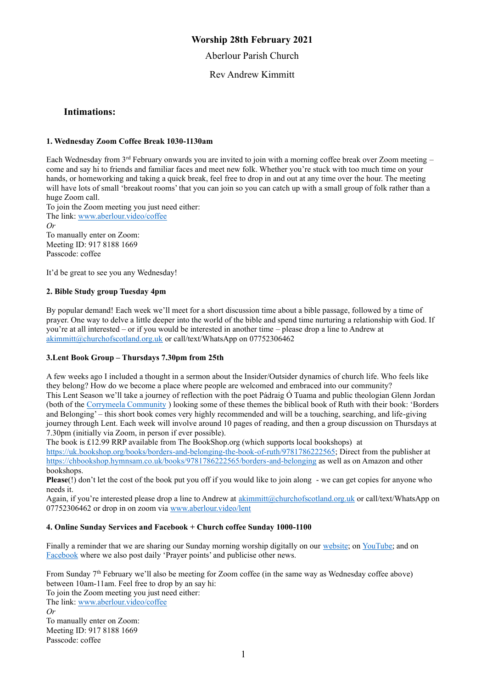### **Worship 28th February 2021**

Aberlour Parish Church

Rev Andrew Kimmitt

#### **Intimations:**

#### **1. Wednesday Zoom Coffee Break 1030-1130am**

Each Wednesday from 3rd February onwards you are invited to join with a morning coffee break over Zoom meeting – come and say hi to friends and familiar faces and meet new folk. Whether you're stuck with too much time on your hands, or homeworking and taking a quick break, feel free to drop in and out at any time over the hour. The meeting will have lots of small 'breakout rooms' that you can join so you can catch up with a small group of folk rather than a huge Zoom call.

To join the Zoom meeting you just need either: The link: [www.aberlour.video/coffee](http://www.aberlour.video/coffee) *Or*  To manually enter on Zoom: Meeting ID: 917 8188 1669

It'd be great to see you any Wednesday!

#### **2. Bible Study group Tuesday 4pm**

Passcode: coffee

By popular demand! Each week we'll meet for a short discussion time about a bible passage, followed by a time of prayer. One way to delve a little deeper into the world of the bible and spend time nurturing a relationship with God. If you're at all interested – or if you would be interested in another time – please drop a line to Andrew at [akimmitt@churchofscotland.org.uk](mailto:akimmitt@churchofscotland.org.uk) or call/text/WhatsApp on 07752306462

#### **3.Lent Book Group – Thursdays 7.30pm from 25th**

A few weeks ago I included a thought in a sermon about the Insider/Outsider dynamics of church life. Who feels like they belong? How do we become a place where people are welcomed and embraced into our community? This Lent Season we'll take a journey of reflection with the poet Pádraig Ó Tuama and public theologian Glenn Jordan (both of the [Corrymeela Community](https://www.corrymeela.org/) ) looking some of these themes the biblical book of Ruth with their book: 'Borders and Belonging' – this short book comes very highly recommended and will be a touching, searching, and life-giving journey through Lent. Each week will involve around 10 pages of reading, and then a group discussion on Thursdays at 7.30pm (initially via Zoom, in person if ever possible).

The book is £12.99 RRP available from The BookShop.org (which supports local bookshops) at [https://uk.bookshop.org/books/borders-and-belonging-the-book-of-ruth/9781786222565;](https://uk.bookshop.org/books/borders-and-belonging-the-book-of-ruth/9781786222565) Direct from the publisher at <https://chbookshop.hymnsam.co.uk/books/9781786222565/borders-and-belonging> as well as on Amazon and other bookshops.

**Please**(!) don't let the cost of the book put you off if you would like to join along - we can get copies for anyone who needs it.

Again, if you're interested please drop a line to Andrew at [akimmitt@churchofscotland.org.uk](mailto:akimmitt@churchofscotland.org.uk) or call/text/WhatsApp on 07752306462 or drop in on zoom via<www.aberlour.video/lent>

#### **4. Online Sunday Services and Facebook + Church coffee Sunday 1000-1100**

Finally a reminder that we are sharing our Sunday morning worship digitally on our [website;](https://aberlourparishchurch.org.uk/) on [YouTube;](https://www.youtube.com/channel/UC2SDxEYfzpEr06VgkCQmM_w) and on [Facebook](https://www.facebook.com/AberlourParishChurch) where we also post daily 'Prayer points' and publicise other news.

From Sunday 7th February we'll also be meeting for Zoom coffee (in the same way as Wednesday coffee above) between 10am-11am. Feel free to drop by an say hi: To join the Zoom meeting you just need either: The link[: www.aberlour.video/coffee](http://www.aberlour.video/coffee) *Or*  To manually enter on Zoom: Meeting ID: 917 8188 1669

Passcode: coffee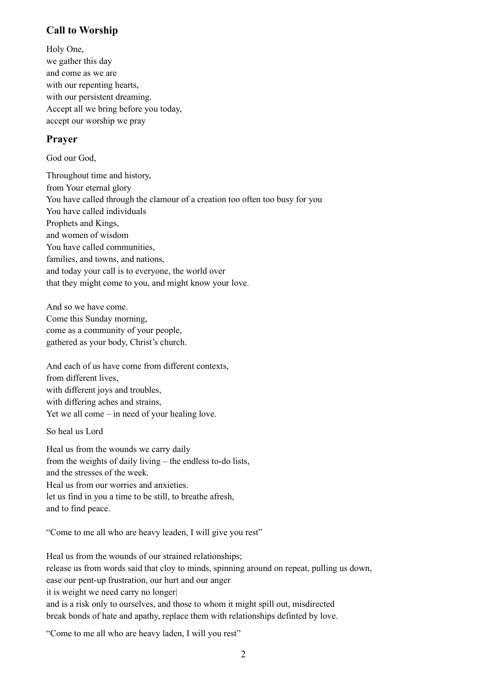# **Call to Worship**

Holy One, we gather this day and come as we are with our repenting hearts, with our persistent dreaming. Accept all we bring before you today, accept our worship we pray

# **Prayer**

God our God,

Throughout time and history, from Your eternal glory You have called through the clamour of a creation too often too busy for you You have called individuals Prophets and Kings, and women of wisdom You have called communities, families, and towns, and nations, and today your call is to everyone, the world over that they might come to you, and might know your love.

And so we have come. Come this Sunday morning, come as a community of your people, gathered as your body, Christ's church.

And each of us have come from different contexts, from different lives, with different joys and troubles, with differing aches and strains, Yet we all come – in need of your healing love.

So heal us Lord

Heal us from the wounds we carry daily from the weights of daily living – the endless to-do lists, and the stresses of the week. Heal us from our worries and anxieties. let us find in you a time to be still, to breathe afresh, and to find peace.

"Come to me all who are heavy leaden, I will give you rest"

Heal us from the wounds of our strained relationships; release us from words said that cloy to minds, spinning around on repeat, pulling us down, ease our pent-up frustration, our hurt and our anger it is weight we need carry no longer| and is a risk only to ourselves, and those to whom it might spill out, misdirected break bonds of hate and apathy, replace them with relationships definted by love.

"Come to me all who are heavy laden, I will you rest"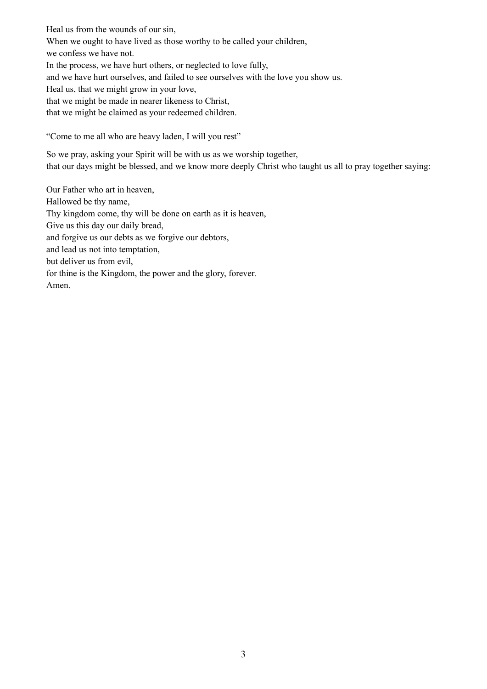Heal us from the wounds of our sin, When we ought to have lived as those worthy to be called your children, we confess we have not. In the process, we have hurt others, or neglected to love fully, and we have hurt ourselves, and failed to see ourselves with the love you show us. Heal us, that we might grow in your love, that we might be made in nearer likeness to Christ, that we might be claimed as your redeemed children.

"Come to me all who are heavy laden, I will you rest"

So we pray, asking your Spirit will be with us as we worship together, that our days might be blessed, and we know more deeply Christ who taught us all to pray together saying:

Our Father who art in heaven, Hallowed be thy name, Thy kingdom come, thy will be done on earth as it is heaven, Give us this day our daily bread, and forgive us our debts as we forgive our debtors, and lead us not into temptation, but deliver us from evil, for thine is the Kingdom, the power and the glory, forever. Amen.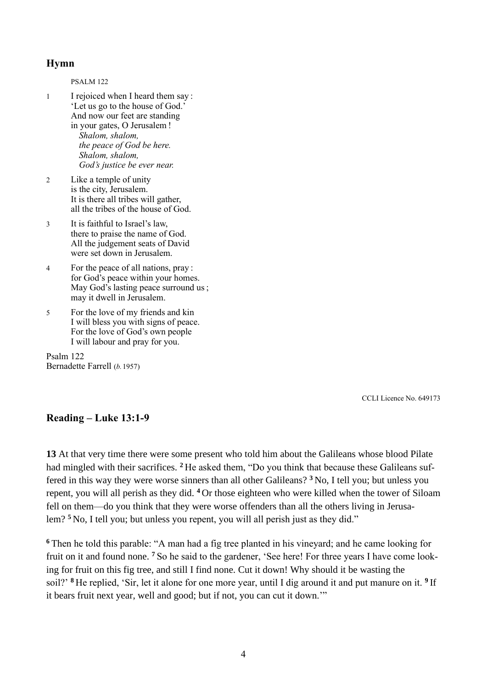## **Hymn**

PSALM 122 1 I rejoiced when I heard them say : 'Let us go to the house of God.' And now our feet are standing in your gates, O Jerusalem ! *Shalom, shalom, the peace of God be here. Shalom, shalom, God's justice be ever near.*

- 2 Like a temple of unity is the city, Jerusalem. It is there all tribes will gather, all the tribes of the house of God.
- 3 It is faithful to Israel's law, there to praise the name of God. All the judgement seats of David were set down in Jerusalem.
- 4 For the peace of all nations, pray : for God's peace within your homes. May God's lasting peace surround us ; may it dwell in Jerusalem.
- 5 For the love of my friends and kin I will bless you with signs of peace. For the love of God's own people I will labour and pray for you.

Psalm 122 Bernadette Farrell (*b.*1957)

CCLI Licence No. 649173

## **Reading – Luke 13:1-9**

**13** At that very time there were some present who told him about the Galileans whose blood Pilate had mingled with their sacrifices. **<sup>2</sup>** He asked them, "Do you think that because these Galileans suffered in this way they were worse sinners than all other Galileans? **<sup>3</sup>** No, I tell you; but unless you repent, you will all perish as they did. **<sup>4</sup>** Or those eighteen who were killed when the tower of Siloam fell on them—do you think that they were worse offenders than all the others living in Jerusalem? **<sup>5</sup>** No, I tell you; but unless you repent, you will all perish just as they did."

**<sup>6</sup>** Then he told this parable: "A man had a fig tree planted in his vineyard; and he came looking for fruit on it and found none. **<sup>7</sup>** So he said to the gardener, 'See here! For three years I have come looking for fruit on this fig tree, and still I find none. Cut it down! Why should it be wasting the soil?' **<sup>8</sup>** He replied, 'Sir, let it alone for one more year, until I dig around it and put manure on it. **<sup>9</sup>** If it bears fruit next year, well and good; but if not, you can cut it down.'"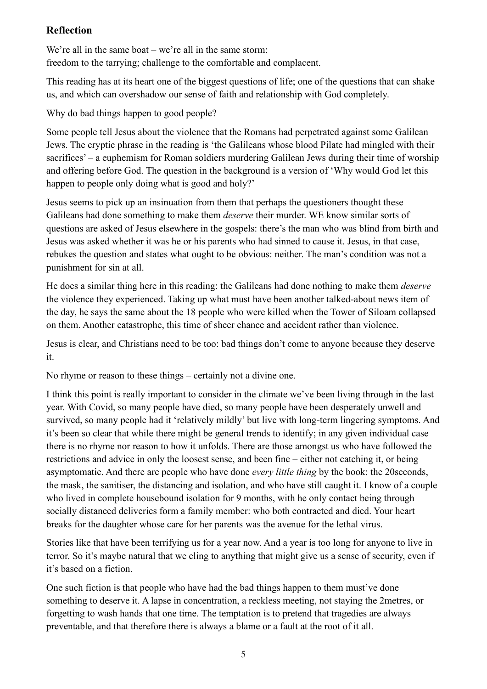# **Reflection**

We're all in the same boat – we're all in the same storm: freedom to the tarrying; challenge to the comfortable and complacent.

This reading has at its heart one of the biggest questions of life; one of the questions that can shake us, and which can overshadow our sense of faith and relationship with God completely.

Why do bad things happen to good people?

Some people tell Jesus about the violence that the Romans had perpetrated against some Galilean Jews. The cryptic phrase in the reading is 'the Galileans whose blood Pilate had mingled with their sacrifices' – a euphemism for Roman soldiers murdering Galilean Jews during their time of worship and offering before God. The question in the background is a version of 'Why would God let this happen to people only doing what is good and holy?'

Jesus seems to pick up an insinuation from them that perhaps the questioners thought these Galileans had done something to make them *deserve* their murder. WE know similar sorts of questions are asked of Jesus elsewhere in the gospels: there's the man who was blind from birth and Jesus was asked whether it was he or his parents who had sinned to cause it. Jesus, in that case, rebukes the question and states what ought to be obvious: neither. The man's condition was not a punishment for sin at all.

He does a similar thing here in this reading: the Galileans had done nothing to make them *deserve* the violence they experienced. Taking up what must have been another talked-about news item of the day, he says the same about the 18 people who were killed when the Tower of Siloam collapsed on them. Another catastrophe, this time of sheer chance and accident rather than violence.

Jesus is clear, and Christians need to be too: bad things don't come to anyone because they deserve it.

No rhyme or reason to these things – certainly not a divine one.

I think this point is really important to consider in the climate we've been living through in the last year. With Covid, so many people have died, so many people have been desperately unwell and survived, so many people had it 'relatively mildly' but live with long-term lingering symptoms. And it's been so clear that while there might be general trends to identify; in any given individual case there is no rhyme nor reason to how it unfolds. There are those amongst us who have followed the restrictions and advice in only the loosest sense, and been fine – either not catching it, or being asymptomatic. And there are people who have done *every little thing* by the book: the 20seconds, the mask, the sanitiser, the distancing and isolation, and who have still caught it. I know of a couple who lived in complete housebound isolation for 9 months, with he only contact being through socially distanced deliveries form a family member: who both contracted and died. Your heart breaks for the daughter whose care for her parents was the avenue for the lethal virus.

Stories like that have been terrifying us for a year now. And a year is too long for anyone to live in terror. So it's maybe natural that we cling to anything that might give us a sense of security, even if it's based on a fiction.

One such fiction is that people who have had the bad things happen to them must've done something to deserve it. A lapse in concentration, a reckless meeting, not staying the 2metres, or forgetting to wash hands that one time. The temptation is to pretend that tragedies are always preventable, and that therefore there is always a blame or a fault at the root of it all.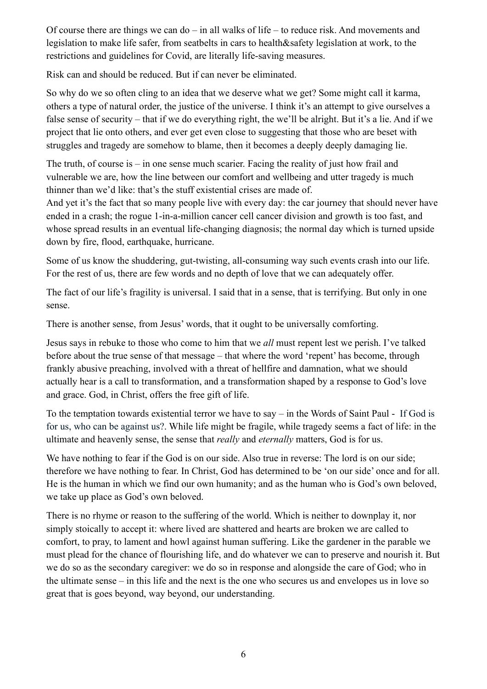Of course there are things we can do – in all walks of life – to reduce risk. And movements and legislation to make life safer, from seatbelts in cars to health&safety legislation at work, to the restrictions and guidelines for Covid, are literally life-saving measures.

Risk can and should be reduced. But if can never be eliminated.

So why do we so often cling to an idea that we deserve what we get? Some might call it karma, others a type of natural order, the justice of the universe. I think it's an attempt to give ourselves a false sense of security – that if we do everything right, the we'll be alright. But it's a lie. And if we project that lie onto others, and ever get even close to suggesting that those who are beset with struggles and tragedy are somehow to blame, then it becomes a deeply deeply damaging lie.

The truth, of course is – in one sense much scarier. Facing the reality of just how frail and vulnerable we are, how the line between our comfort and wellbeing and utter tragedy is much thinner than we'd like: that's the stuff existential crises are made of.

And yet it's the fact that so many people live with every day: the car journey that should never have ended in a crash; the rogue 1-in-a-million cancer cell cancer division and growth is too fast, and whose spread results in an eventual life-changing diagnosis; the normal day which is turned upside down by fire, flood, earthquake, hurricane.

Some of us know the shuddering, gut-twisting, all-consuming way such events crash into our life. For the rest of us, there are few words and no depth of love that we can adequately offer.

The fact of our life's fragility is universal. I said that in a sense, that is terrifying. But only in one sense.

There is another sense, from Jesus' words, that it ought to be universally comforting.

Jesus says in rebuke to those who come to him that we *all* must repent lest we perish. I've talked before about the true sense of that message – that where the word 'repent' has become, through frankly abusive preaching, involved with a threat of hellfire and damnation, what we should actually hear is a call to transformation, and a transformation shaped by a response to God's love and grace. God, in Christ, offers the free gift of life.

To the temptation towards existential terror we have to say – in the Words of Saint Paul - If God is for us, who can be against us?. While life might be fragile, while tragedy seems a fact of life: in the ultimate and heavenly sense, the sense that *really* and *eternally* matters, God is for us.

We have nothing to fear if the God is on our side. Also true in reverse: The lord is on our side; therefore we have nothing to fear. In Christ, God has determined to be 'on our side' once and for all. He is the human in which we find our own humanity; and as the human who is God's own beloved, we take up place as God's own beloved.

There is no rhyme or reason to the suffering of the world. Which is neither to downplay it, nor simply stoically to accept it: where lived are shattered and hearts are broken we are called to comfort, to pray, to lament and howl against human suffering. Like the gardener in the parable we must plead for the chance of flourishing life, and do whatever we can to preserve and nourish it. But we do so as the secondary caregiver: we do so in response and alongside the care of God; who in the ultimate sense – in this life and the next is the one who secures us and envelopes us in love so great that is goes beyond, way beyond, our understanding.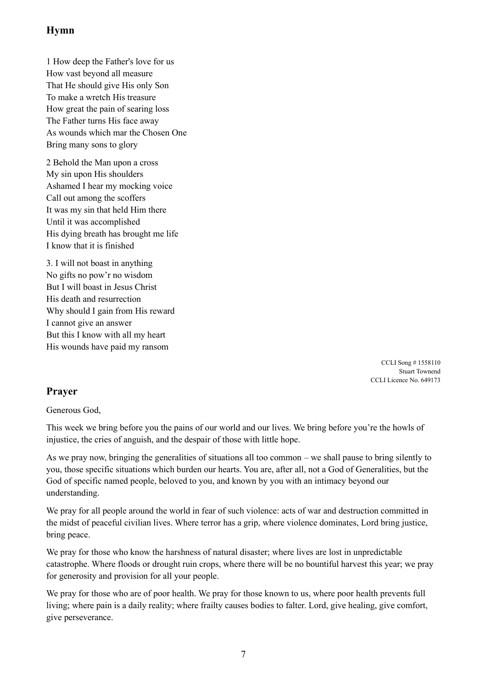# **Hymn**

1 How deep the Father's love for us How vast beyond all measure That He should give His only Son To make a wretch His treasure How great the pain of searing loss The Father turns His face away As wounds which mar the Chosen One Bring many sons to glory

2 Behold the Man upon a cross My sin upon His shoulders Ashamed I hear my mocking voice Call out among the scoffers It was my sin that held Him there Until it was accomplished His dying breath has brought me life I know that it is finished

3. I will not boast in anything No gifts no pow'r no wisdom But I will boast in Jesus Christ His death and resurrection Why should I gain from His reward I cannot give an answer But this I know with all my heart His wounds have paid my ransom

> CCLI Song # 1558110 Stuart Townend CCLI Licence No. 649173

# **Prayer**

Generous God,

This week we bring before you the pains of our world and our lives. We bring before you're the howls of injustice, the cries of anguish, and the despair of those with little hope.

As we pray now, bringing the generalities of situations all too common – we shall pause to bring silently to you, those specific situations which burden our hearts. You are, after all, not a God of Generalities, but the God of specific named people, beloved to you, and known by you with an intimacy beyond our understanding.

We pray for all people around the world in fear of such violence: acts of war and destruction committed in the midst of peaceful civilian lives. Where terror has a grip, where violence dominates, Lord bring justice, bring peace.

We pray for those who know the harshness of natural disaster; where lives are lost in unpredictable catastrophe. Where floods or drought ruin crops, where there will be no bountiful harvest this year; we pray for generosity and provision for all your people.

We pray for those who are of poor health. We pray for those known to us, where poor health prevents full living; where pain is a daily reality; where frailty causes bodies to falter. Lord, give healing, give comfort, give perseverance.